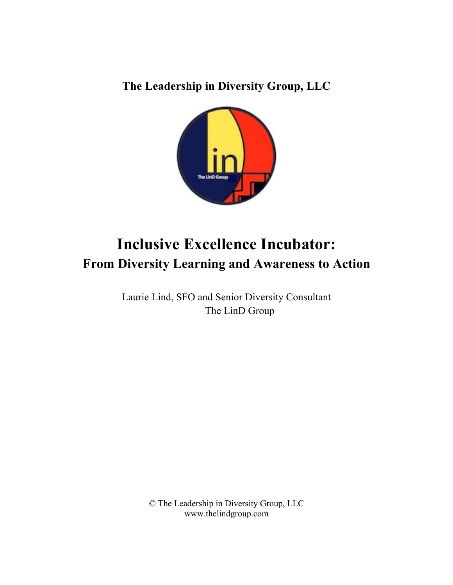**The Leadership in Diversity Group, LLC**



# **Inclusive Excellence Incubator: From Diversity Learning and Awareness to Action**

Laurie Lind, SFO and Senior Diversity Consultant The LinD Group

> © The Leadership in Diversity Group, LLC www.thelindgroup.com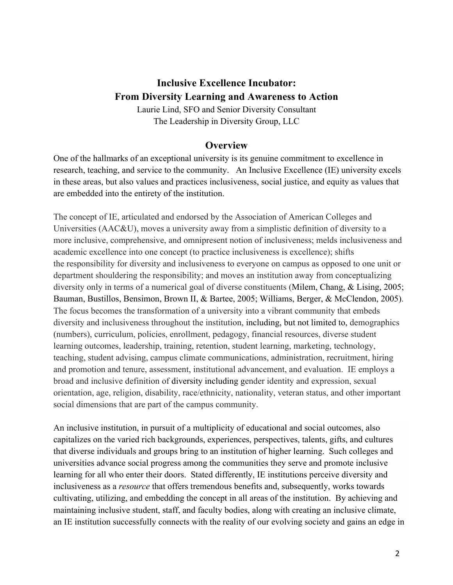## **Inclusive Excellence Incubator: From Diversity Learning and Awareness to Action**

Laurie Lind, SFO and Senior Diversity Consultant The Leadership in Diversity Group, LLC

## **Overview**

One of the hallmarks of an exceptional university is its genuine commitment to excellence in research, teaching, and service to the community. An Inclusive Excellence (IE) university excels in these areas, but also values and practices inclusiveness, social justice, and equity as values that are embedded into the entirety of the institution.

The concept of IE, articulated and endorsed by the Association of American Colleges and Universities (AAC&U), moves a university away from a simplistic definition of diversity to a more inclusive, comprehensive, and omnipresent notion of inclusiveness; melds inclusiveness and academic excellence into one concept (to practice inclusiveness is excellence); shifts the responsibility for diversity and inclusiveness to everyone on campus as opposed to one unit or department shouldering the responsibility; and moves an institution away from conceptualizing diversity only in terms of a numerical goal of diverse constituents (Milem, Chang, & Lising, 2005; Bauman, Bustillos, Bensimon, Brown II, & Bartee, 2005; Williams, Berger, & McClendon, 2005). The focus becomes the transformation of a university into a vibrant community that embeds diversity and inclusiveness throughout the institution, including, but not limited to, demographics (numbers), curriculum, policies, enrollment, pedagogy, financial resources, diverse student learning outcomes, leadership, training, retention, student learning, marketing, technology, teaching, student advising, campus climate communications, administration, recruitment, hiring and promotion and tenure, assessment, institutional advancement, and evaluation. IE employs a broad and inclusive definition of diversity including gender identity and expression, sexual orientation, age, religion, disability, race/ethnicity, nationality, veteran status, and other important social dimensions that are part of the campus community.

An inclusive institution, in pursuit of a multiplicity of educational and social outcomes, also capitalizes on the varied rich backgrounds, experiences, perspectives, talents, gifts, and cultures that diverse individuals and groups bring to an institution of higher learning. Such colleges and universities advance social progress among the communities they serve and promote inclusive learning for all who enter their doors. Stated differently, IE institutions perceive diversity and inclusiveness as a *resource* that offers tremendous benefits and, subsequently, works towards cultivating, utilizing, and embedding the concept in all areas of the institution. By achieving and maintaining inclusive student, staff, and faculty bodies, along with creating an inclusive climate, an IE institution successfully connects with the reality of our evolving society and gains an edge in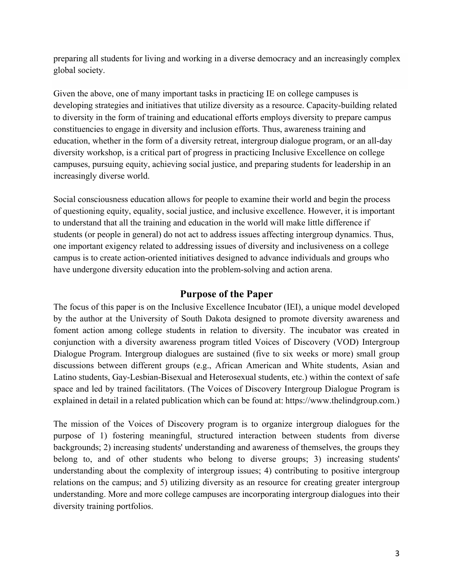preparing all students for living and working in a diverse democracy and an increasingly complex global society.

Given the above, one of many important tasks in practicing IE on college campuses is developing strategies and initiatives that utilize diversity as a resource. Capacity-building related to diversity in the form of training and educational efforts employs diversity to prepare campus constituencies to engage in diversity and inclusion efforts. Thus, awareness training and education, whether in the form of a diversity retreat, intergroup dialogue program, or an all-day diversity workshop, is a critical part of progress in practicing Inclusive Excellence on college campuses, pursuing equity, achieving social justice, and preparing students for leadership in an increasingly diverse world.

Social consciousness education allows for people to examine their world and begin the process of questioning equity, equality, social justice, and inclusive excellence. However, it is important to understand that all the training and education in the world will make little difference if students (or people in general) do not act to address issues affecting intergroup dynamics. Thus, one important exigency related to addressing issues of diversity and inclusiveness on a college campus is to create action-oriented initiatives designed to advance individuals and groups who have undergone diversity education into the problem-solving and action arena.

## **Purpose of the Paper**

The focus of this paper is on the Inclusive Excellence Incubator (IEI), a unique model developed by the author at the University of South Dakota designed to promote diversity awareness and foment action among college students in relation to diversity. The incubator was created in conjunction with a diversity awareness program titled Voices of Discovery (VOD) Intergroup Dialogue Program. Intergroup dialogues are sustained (five to six weeks or more) small group discussions between different groups (e.g., African American and White students, Asian and Latino students, Gay-Lesbian-Bisexual and Heterosexual students, etc.) within the context of safe space and led by trained facilitators. (The Voices of Discovery Intergroup Dialogue Program is explained in detail in a related publication which can be found at: https://www.thelindgroup.com.)

The mission of the Voices of Discovery program is to organize intergroup dialogues for the purpose of 1) fostering meaningful, structured interaction between students from diverse backgrounds; 2) increasing students' understanding and awareness of themselves, the groups they belong to, and of other students who belong to diverse groups; 3) increasing students' understanding about the complexity of intergroup issues; 4) contributing to positive intergroup relations on the campus; and 5) utilizing diversity as an resource for creating greater intergroup understanding. More and more college campuses are incorporating intergroup dialogues into their diversity training portfolios.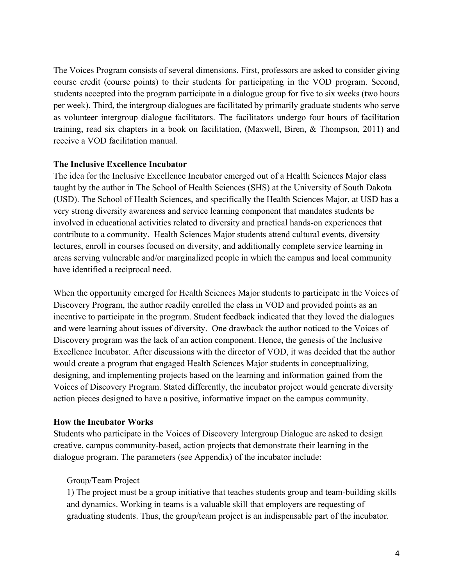The Voices Program consists of several dimensions. First, professors are asked to consider giving course credit (course points) to their students for participating in the VOD program. Second, students accepted into the program participate in a dialogue group for five to six weeks (two hours per week). Third, the intergroup dialogues are facilitated by primarily graduate students who serve as volunteer intergroup dialogue facilitators. The facilitators undergo four hours of facilitation training, read six chapters in a book on facilitation, (Maxwell, Biren, & Thompson, 2011) and receive a VOD facilitation manual.

#### **The Inclusive Excellence Incubator**

The idea for the Inclusive Excellence Incubator emerged out of a Health Sciences Major class taught by the author in The School of Health Sciences (SHS) at the University of South Dakota (USD). The School of Health Sciences, and specifically the Health Sciences Major, at USD has a very strong diversity awareness and service learning component that mandates students be involved in educational activities related to diversity and practical hands-on experiences that contribute to a community. Health Sciences Major students attend cultural events, diversity lectures, enroll in courses focused on diversity, and additionally complete service learning in areas serving vulnerable and/or marginalized people in which the campus and local community have identified a reciprocal need.

When the opportunity emerged for Health Sciences Major students to participate in the Voices of Discovery Program, the author readily enrolled the class in VOD and provided points as an incentive to participate in the program. Student feedback indicated that they loved the dialogues and were learning about issues of diversity. One drawback the author noticed to the Voices of Discovery program was the lack of an action component. Hence, the genesis of the Inclusive Excellence Incubator. After discussions with the director of VOD, it was decided that the author would create a program that engaged Health Sciences Major students in conceptualizing, designing, and implementing projects based on the learning and information gained from the Voices of Discovery Program. Stated differently, the incubator project would generate diversity action pieces designed to have a positive, informative impact on the campus community.

#### **How the Incubator Works**

Students who participate in the Voices of Discovery Intergroup Dialogue are asked to design creative, campus community-based, action projects that demonstrate their learning in the dialogue program. The parameters (see Appendix) of the incubator include:

#### Group/Team Project

1) The project must be a group initiative that teaches students group and team-building skills and dynamics. Working in teams is a valuable skill that employers are requesting of graduating students. Thus, the group/team project is an indispensable part of the incubator.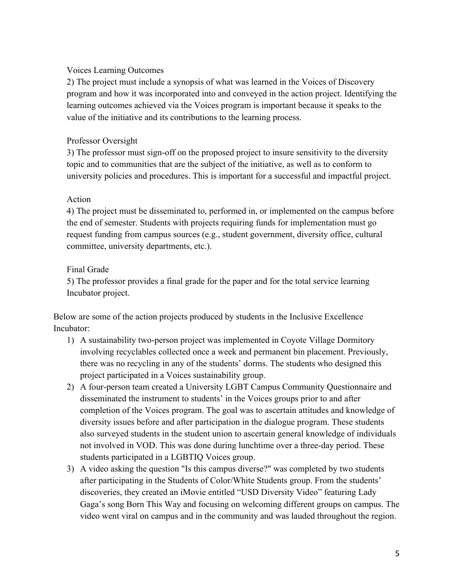#### Voices Learning Outcomes

2) The project must include a synopsis of what was learned in the Voices of Discovery program and how it was incorporated into and conveyed in the action project. Identifying the learning outcomes achieved via the Voices program is important because it speaks to the value of the initiative and its contributions to the learning process.

#### Professor Oversight

3) The professor must sign-off on the proposed project to insure sensitivity to the diversity topic and to communities that are the subject of the initiative, as well as to conform to university policies and procedures. This is important for a successful and impactful project.

#### Action

4) The project must be disseminated to, performed in, or implemented on the campus before the end of semester. Students with projects requiring funds for implementation must go request funding from campus sources (e.g., student government, diversity office, cultural committee, university departments, etc.).

## Final Grade

5) The professor provides a final grade for the paper and for the total service learning Incubator project.

Below are some of the action projects produced by students in the Inclusive Excellence Incubator:

- 1) A sustainability two-person project was implemented in Coyote Village Dormitory involving recyclables collected once a week and permanent bin placement. Previously, there was no recycling in any of the students' dorms. The students who designed this project participated in a Voices sustainability group.
- 2) A four-person team created a University LGBT Campus Community Questionnaire and disseminated the instrument to students' in the Voices groups prior to and after completion of the Voices program. The goal was to ascertain attitudes and knowledge of diversity issues before and after participation in the dialogue program. These students also surveyed students in the student union to ascertain general knowledge of individuals not involved in VOD. This was done during lunchtime over a three-day period. These students participated in a LGBTIQ Voices group.
- 3) A video asking the question "Is this campus diverse?" was completed by two students after participating in the Students of Color/White Students group. From the students' discoveries, they created an iMovie entitled "USD Diversity Video" featuring Lady Gaga's song Born This Way and focusing on welcoming different groups on campus. The video went viral on campus and in the community and was lauded throughout the region.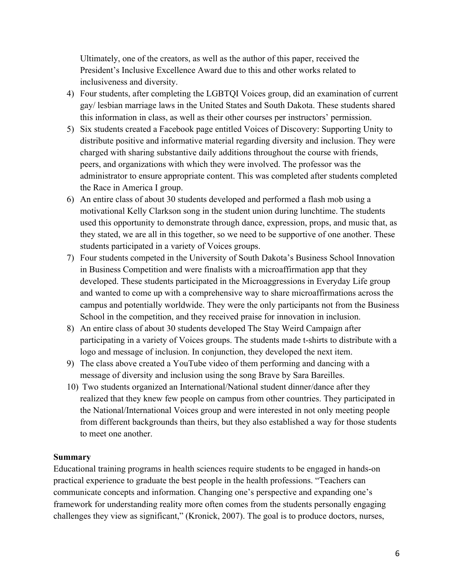Ultimately, one of the creators, as well as the author of this paper, received the President's Inclusive Excellence Award due to this and other works related to inclusiveness and diversity.

- 4) Four students, after completing the LGBTQI Voices group, did an examination of current gay/ lesbian marriage laws in the United States and South Dakota. These students shared this information in class, as well as their other courses per instructors' permission.
- 5) Six students created a Facebook page entitled Voices of Discovery: Supporting Unity to distribute positive and informative material regarding diversity and inclusion. They were charged with sharing substantive daily additions throughout the course with friends, peers, and organizations with which they were involved. The professor was the administrator to ensure appropriate content. This was completed after students completed the Race in America I group.
- 6) An entire class of about 30 students developed and performed a flash mob using a motivational Kelly Clarkson song in the student union during lunchtime. The students used this opportunity to demonstrate through dance, expression, props, and music that, as they stated, we are all in this together, so we need to be supportive of one another. These students participated in a variety of Voices groups.
- 7) Four students competed in the University of South Dakota's Business School Innovation in Business Competition and were finalists with a microaffirmation app that they developed. These students participated in the Microaggressions in Everyday Life group and wanted to come up with a comprehensive way to share microaffirmations across the campus and potentially worldwide. They were the only participants not from the Business School in the competition, and they received praise for innovation in inclusion.
- 8) An entire class of about 30 students developed The Stay Weird Campaign after participating in a variety of Voices groups. The students made t-shirts to distribute with a logo and message of inclusion. In conjunction, they developed the next item.
- 9) The class above created a YouTube video of them performing and dancing with a message of diversity and inclusion using the song Brave by Sara Bareilles.
- 10) Two students organized an International/National student dinner/dance after they realized that they knew few people on campus from other countries. They participated in the National/International Voices group and were interested in not only meeting people from different backgrounds than theirs, but they also established a way for those students to meet one another.

#### **Summary**

Educational training programs in health sciences require students to be engaged in hands-on practical experience to graduate the best people in the health professions. "Teachers can communicate concepts and information. Changing one's perspective and expanding one's framework for understanding reality more often comes from the students personally engaging challenges they view as significant," (Kronick, 2007). The goal is to produce doctors, nurses,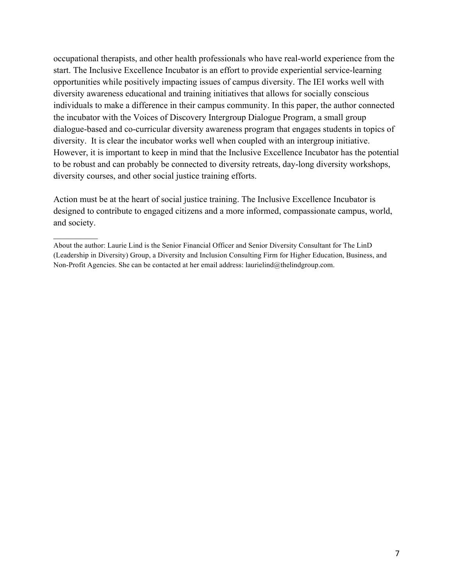occupational therapists, and other health professionals who have real-world experience from the start. The Inclusive Excellence Incubator is an effort to provide experiential service-learning opportunities while positively impacting issues of campus diversity. The IEI works well with diversity awareness educational and training initiatives that allows for socially conscious individuals to make a difference in their campus community. In this paper, the author connected the incubator with the Voices of Discovery Intergroup Dialogue Program, a small group dialogue-based and co-curricular diversity awareness program that engages students in topics of diversity. It is clear the incubator works well when coupled with an intergroup initiative. However, it is important to keep in mind that the Inclusive Excellence Incubator has the potential to be robust and can probably be connected to diversity retreats, day-long diversity workshops, diversity courses, and other social justice training efforts.

Action must be at the heart of social justice training. The Inclusive Excellence Incubator is designed to contribute to engaged citizens and a more informed, compassionate campus, world, and society.

 $\frac{1}{2}$ 

About the author: Laurie Lind is the Senior Financial Officer and Senior Diversity Consultant for The LinD (Leadership in Diversity) Group, a Diversity and Inclusion Consulting Firm for Higher Education, Business, and Non-Profit Agencies. She can be contacted at her email address: laurielind@thelindgroup.com.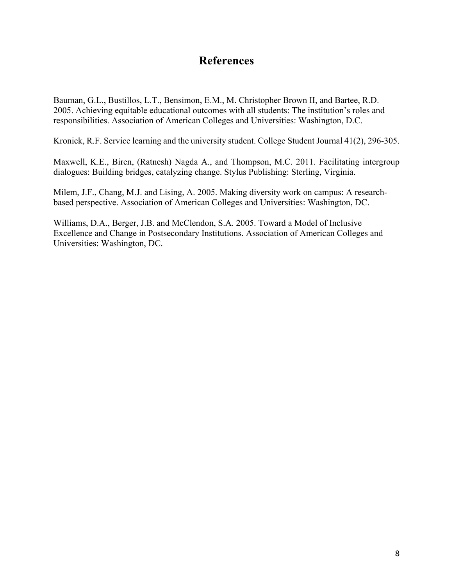## **References**

Bauman, G.L., Bustillos, L.T., Bensimon, E.M., M. Christopher Brown II, and Bartee, R.D. 2005. Achieving equitable educational outcomes with all students: The institution's roles and responsibilities. Association of American Colleges and Universities: Washington, D.C.

Kronick, R.F. Service learning and the university student. College Student Journal 41(2), 296-305.

Maxwell, K.E., Biren, (Ratnesh) Nagda A., and Thompson, M.C. 2011. Facilitating intergroup dialogues: Building bridges, catalyzing change. Stylus Publishing: Sterling, Virginia.

Milem, J.F., Chang, M.J. and Lising, A. 2005. Making diversity work on campus: A researchbased perspective. Association of American Colleges and Universities: Washington, DC.

Williams, D.A., Berger, J.B. and McClendon, S.A. 2005. Toward a Model of Inclusive Excellence and Change in Postsecondary Institutions. Association of American Colleges and Universities: Washington, DC.